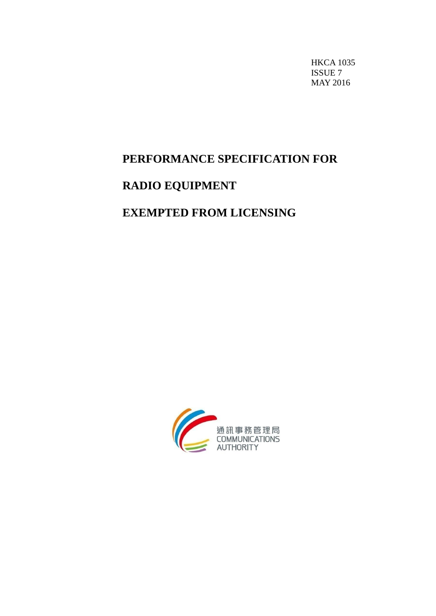HKCA 1035 ISSUE 7 MAY 2016

# **PERFORMANCE SPECIFICATION FOR**

# **RADIO EQUIPMENT**

## **EXEMPTED FROM LICENSING**

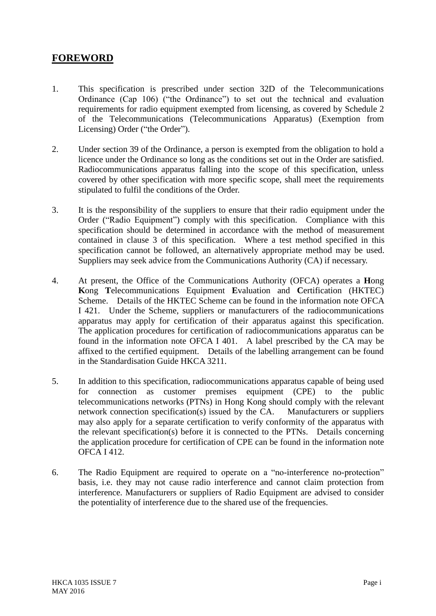## **FOREWORD**

- 1. This specification is prescribed under section 32D of the Telecommunications Ordinance (Cap 106) ("the Ordinance") to set out the technical and evaluation requirements for radio equipment exempted from licensing, as covered by Schedule 2 of the Telecommunications (Telecommunications Apparatus) (Exemption from Licensing) Order ("the Order").
- 2. Under section 39 of the Ordinance, a person is exempted from the obligation to hold a licence under the Ordinance so long as the conditions set out in the Order are satisfied. Radiocommunications apparatus falling into the scope of this specification, unless covered by other specification with more specific scope, shall meet the requirements stipulated to fulfil the conditions of the Order.
- 3. It is the responsibility of the suppliers to ensure that their radio equipment under the Order ("Radio Equipment") comply with this specification. Compliance with this specification should be determined in accordance with the method of measurement contained in clause 3 of this specification. Where a test method specified in this specification cannot be followed, an alternatively appropriate method may be used. Suppliers may seek advice from the Communications Authority (CA) if necessary.
- 4. At present, the Office of the Communications Authority (OFCA) operates a **H**ong **K**ong **T**elecommunications Equipment **E**valuation and **C**ertification (HKTEC) Scheme. Details of the HKTEC Scheme can be found in the information note OFCA I 421. Under the Scheme, suppliers or manufacturers of the radiocommunications apparatus may apply for certification of their apparatus against this specification. The application procedures for certification of radiocommunications apparatus can be found in the information note OFCA I 401. A label prescribed by the CA may be affixed to the certified equipment. Details of the labelling arrangement can be found in the Standardisation Guide HKCA 3211.
- 5. In addition to this specification, radiocommunications apparatus capable of being used for connection as customer premises equipment (CPE) to the public telecommunications networks (PTNs) in Hong Kong should comply with the relevant network connection specification(s) issued by the CA. Manufacturers or suppliers may also apply for a separate certification to verify conformity of the apparatus with the relevant specification(s) before it is connected to the PTNs. Details concerning the application procedure for certification of CPE can be found in the information note OFCA I 412.
- 6. The Radio Equipment are required to operate on a "no-interference no-protection" basis, i.e. they may not cause radio interference and cannot claim protection from interference. Manufacturers or suppliers of Radio Equipment are advised to consider the potentiality of interference due to the shared use of the frequencies.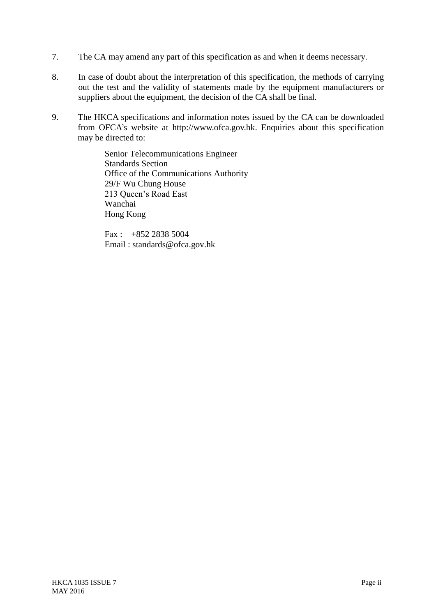- 7. The CA may amend any part of this specification as and when it deems necessary.
- 8. In case of doubt about the interpretation of this specification, the methods of carrying out the test and the validity of statements made by the equipment manufacturers or suppliers about the equipment, the decision of the CA shall be final.
- 9. The HKCA specifications and information notes issued by the CA can be downloaded from OFCA's website at http://www.ofca.gov.hk. Enquiries about this specification may be directed to:

Senior Telecommunications Engineer Standards Section Office of the Communications Authority 29/F Wu Chung House 213 Queen's Road East Wanchai Hong Kong

 $Fax: +852 2838 5004$ Email : standards@ofca.gov.hk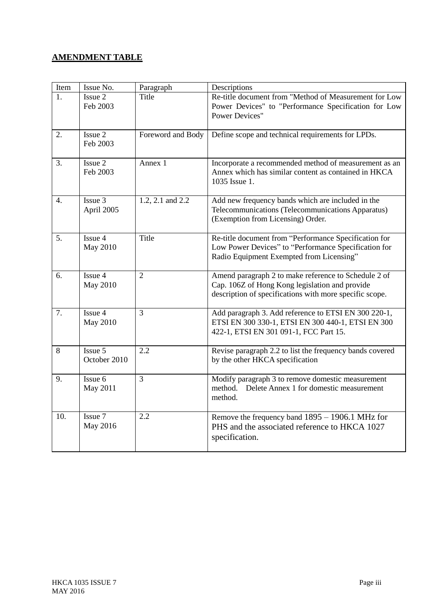## **AMENDMENT TABLE**

| Item | Issue No.                  | Paragraph         | Descriptions                                                                                                                                                      |
|------|----------------------------|-------------------|-------------------------------------------------------------------------------------------------------------------------------------------------------------------|
| 1.   | Issue 2<br>Feb 2003        | Title             | Re-title document from "Method of Measurement for Low<br>Power Devices" to "Performance Specification for Low<br><b>Power Devices"</b>                            |
| 2.   | Issue 2<br>Feb 2003        | Foreword and Body | Define scope and technical requirements for LPDs.                                                                                                                 |
| 3.   | Issue 2<br>Feb 2003        | Annex 1           | Incorporate a recommended method of measurement as an<br>Annex which has similar content as contained in HKCA<br>1035 Issue 1.                                    |
| 4.   | Issue 3<br>April 2005      | 1.2, 2.1 and 2.2  | Add new frequency bands which are included in the<br>Telecommunications (Telecommunications Apparatus)<br>(Exemption from Licensing) Order.                       |
| 5.   | Issue 4<br><b>May 2010</b> | Title             | Re-title document from "Performance Specification for<br>Low Power Devices" to "Performance Specification for<br>Radio Equipment Exempted from Licensing"         |
| 6.   | Issue 4<br>May 2010        | $\overline{2}$    | Amend paragraph 2 to make reference to Schedule 2 of<br>Cap. 106Z of Hong Kong legislation and provide<br>description of specifications with more specific scope. |
| 7.   | Issue 4<br><b>May 2010</b> | $\overline{3}$    | Add paragraph 3. Add reference to ETSI EN 300 220-1,<br>ETSI EN 300 330-1, ETSI EN 300 440-1, ETSI EN 300<br>422-1, ETSI EN 301 091-1, FCC Part 15.               |
| 8    | Issue 5<br>October 2010    | 2.2               | Revise paragraph 2.2 to list the frequency bands covered<br>by the other HKCA specification                                                                       |
| 9.   | Issue 6<br>May 2011        | $\overline{3}$    | Modify paragraph 3 to remove domestic measurement<br>method. Delete Annex 1 for domestic measurement<br>method.                                                   |
| 10.  | Issue 7<br>May 2016        | 2.2               | Remove the frequency band 1895 - 1906.1 MHz for<br>PHS and the associated reference to HKCA 1027<br>specification.                                                |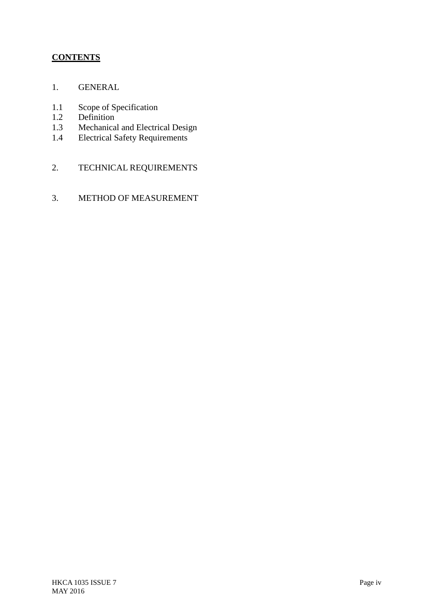## **CONTENTS**

- 1. GENERAL
- 1.1 Scope of Specification<br>1.2 Definition
- 1.2 Definition<br>1.3 Mechanica
- Mechanical and Electrical Design
- 1.4 Electrical Safety Requirements
- 2. TECHNICAL REQUIREMENTS
- 3. METHOD OF MEASUREMENT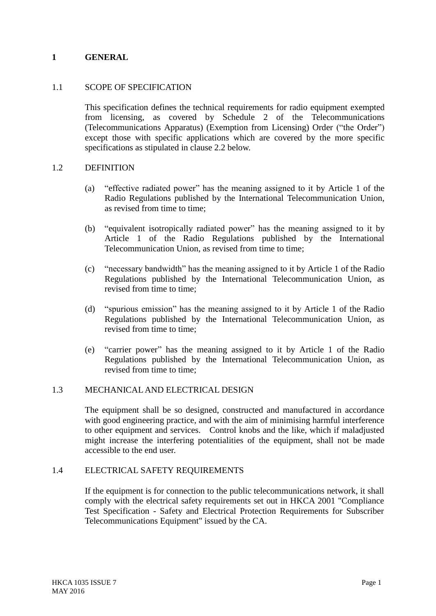#### **1 GENERAL**

#### 1.1 SCOPE OF SPECIFICATION

This specification defines the technical requirements for radio equipment exempted from licensing, as covered by Schedule 2 of the Telecommunications (Telecommunications Apparatus) (Exemption from Licensing) Order ("the Order") except those with specific applications which are covered by the more specific specifications as stipulated in clause 2.2 below.

#### 1.2 DEFINITION

- (a) "effective radiated power" has the meaning assigned to it by Article 1 of the Radio Regulations published by the International Telecommunication Union, as revised from time to time;
- (b) "equivalent isotropically radiated power" has the meaning assigned to it by Article 1 of the Radio Regulations published by the International Telecommunication Union, as revised from time to time;
- (c) "necessary bandwidth" has the meaning assigned to it by Article 1 of the Radio Regulations published by the International Telecommunication Union, as revised from time to time;
- (d) "spurious emission" has the meaning assigned to it by Article 1 of the Radio Regulations published by the International Telecommunication Union, as revised from time to time;
- (e) "carrier power" has the meaning assigned to it by Article 1 of the Radio Regulations published by the International Telecommunication Union, as revised from time to time;

#### 1.3 MECHANICAL AND ELECTRICAL DESIGN

The equipment shall be so designed, constructed and manufactured in accordance with good engineering practice, and with the aim of minimising harmful interference to other equipment and services. Control knobs and the like, which if maladjusted might increase the interfering potentialities of the equipment, shall not be made accessible to the end user.

#### 1.4 ELECTRICAL SAFETY REQUIREMENTS

If the equipment is for connection to the public telecommunications network, it shall comply with the electrical safety requirements set out in HKCA 2001 "Compliance Test Specification - Safety and Electrical Protection Requirements for Subscriber Telecommunications Equipment" issued by the CA.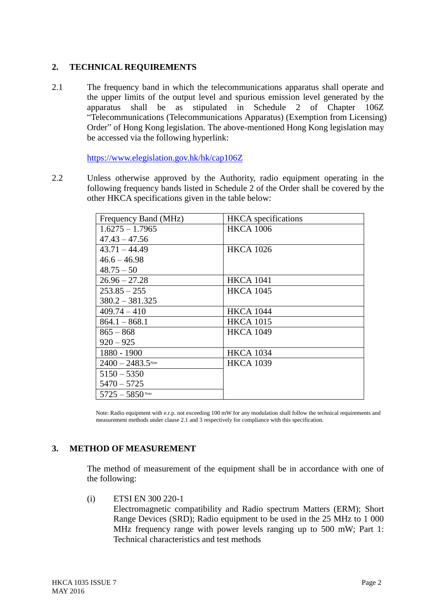#### **2. TECHNICAL REQUIREMENTS**

2.1 The frequency band in which the telecommunications apparatus shall operate and the upper limits of the output level and spurious emission level generated by the apparatus shall be as stipulated in Schedule 2 of Chapter 106Z "Telecommunications (Telecommunications Apparatus) (Exemption from Licensing) Order" of Hong Kong legislation. The above-mentioned Hong Kong legislation may be accessed via the following hyperlink:

<https://www.elegislation.gov.hk/hk/cap106Z>

2.2 Unless otherwise approved by the Authority, radio equipment operating in the following frequency bands listed in Schedule 2 of the Order shall be covered by the other HKCA specifications given in the table below:

| Frequency Band (MHz) | <b>HKCA</b> specifications |
|----------------------|----------------------------|
| $1.6275 - 1.7965$    | <b>HKCA 1006</b>           |
| $47.43 - 47.56$      |                            |
| $43.71 - 44.49$      | <b>HKCA 1026</b>           |
| $46.6 - 46.98$       |                            |
| $48.75 - 50$         |                            |
| $26.96 - 27.28$      | <b>HKCA 1041</b>           |
| $253.85 - 255$       | <b>HKCA 1045</b>           |
| $380.2 - 381.325$    |                            |
| $409.74 - 410$       | <b>HKCA 1044</b>           |
| $864.1 - 868.1$      | <b>HKCA 1015</b>           |
| $865 - 868$          | <b>HKCA 1049</b>           |
| $920 - 925$          |                            |
| 1880 - 1900          | <b>HKCA 1034</b>           |
| $2400 - 2483.5$ Note | <b>HKCA</b> 1039           |
| $5150 - 5350$        |                            |
| $5470 - 5725$        |                            |
| $5725 - 5850$ Note   |                            |

Note: Radio equipment with e.r.p. not exceeding 100 mW for any modulation shall follow the technical requirements and measurement methods under clause 2.1 and 3 respectively for compliance with this specification.

### **3. METHOD OF MEASUREMENT**

The method of measurement of the equipment shall be in accordance with one of the following:

(i) ETSI EN 300 220-1

Electromagnetic compatibility and Radio spectrum Matters (ERM); Short Range Devices (SRD); Radio equipment to be used in the 25 MHz to 1 000 MHz frequency range with power levels ranging up to 500 mW; Part 1: Technical characteristics and test methods